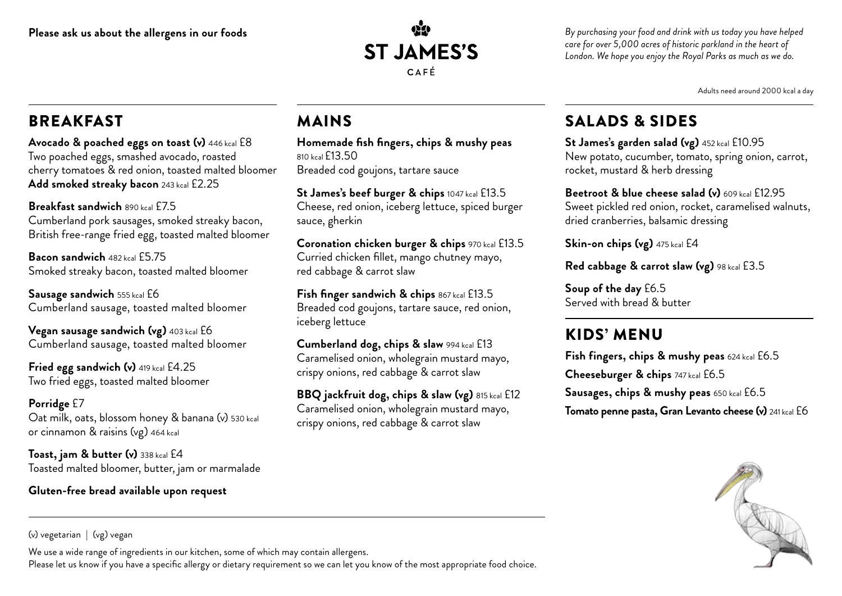

*By purchasing your food and drink with us today you have helped care for over 5,000 acres of historic parkland in the heart of London. We hope you enjoy the Royal Parks as much as we do.*

Adults need around 2000 kcal a day

# **BREAKFAST**

**Avocado & poached eggs on toast (v)** 446 kcal £8 Two poached eggs, smashed avocado, roasted cherry tomatoes & red onion, toasted malted bloomer **Add smoked streaky bacon** 243 kcal £2.25

**Breakfast sandwich** 890 kcal £7.5 Cumberland pork sausages, smoked streaky bacon, British free-range fried egg, toasted malted bloomer

**Bacon sandwich** 482 kcal £5.75 Smoked streaky bacon, toasted malted bloomer

**Sausage sandwich** 555 kcal £6 Cumberland sausage, toasted malted bloomer

**Vegan sausage sandwich (vg)** 403 kcal £6 Cumberland sausage, toasted malted bloomer

**Fried egg sandwich (v)** 419 kcal £4.25 Two fried eggs, toasted malted bloomer

**Porridge** £7 Oat milk, oats, blossom honey & banana (v) 530 kcal or cinnamon & raisins (vg) 464 kcal

**Toast, jam & butter (v)** 338 kcal £4 Toasted malted bloomer, butter, jam or marmalade

#### **Gluten-free bread available upon request**

## MAINS

**Homemade fish fingers, chips & mushy peas** 810 kcal £13.50 Breaded cod goujons, tartare sauce

**St James's beef burger & chips** 1047 kcal £13.5 Cheese, red onion, iceberg lettuce, spiced burger sauce, gherkin

**Coronation chicken burger & chips** 970 kcal £13.5 Curried chicken fillet, mango chutney mayo, red cabbage & carrot slaw

**Fish finger sandwich & chips** 867 kcal £13.5 Breaded cod goujons, tartare sauce, red onion, iceberg lettuce

**Cumberland dog, chips & slaw** 994 kcal £13 Caramelised onion, wholegrain mustard mayo, crispy onions, red cabbage & carrot slaw

**BBQ jackfruit dog, chips & slaw (vg)** 815 kcal £12 Caramelised onion, wholegrain mustard mayo, crispy onions, red cabbage & carrot slaw

### SALADS & SIDES

**St James's garden salad (vg)** 452 kcal £10.95 New potato, cucumber, tomato, spring onion, carrot, rocket, mustard & herb dressing

**Beetroot & blue cheese salad (v)** 609 kcal £12.95 Sweet pickled red onion, rocket, caramelised walnuts, dried cranberries, balsamic dressing

**Skin-on chips (vg)** 475 kcal £4

**Red cabbage & carrot slaw (vg)** 98 kcal £3.5

**Soup of the day** £6.5 Served with bread & butter

# KIDS' MENU

**Fish fingers, chips & mushy peas** 624 kcal £6.5 **Cheeseburger & chips** 747 kcal £6.5 **Sausages, chips & mushy peas** 650 kcal £6.5 **Tomato penne pasta, Gran Levanto cheese (v)** 241 kcal £6



(v) vegetarian | (vg) vegan

We use a wide range of ingredients in our kitchen, some of which may contain allergens.

Please let us know if you have a specific allergy or dietary requirement so we can let you know of the most appropriate food choice.